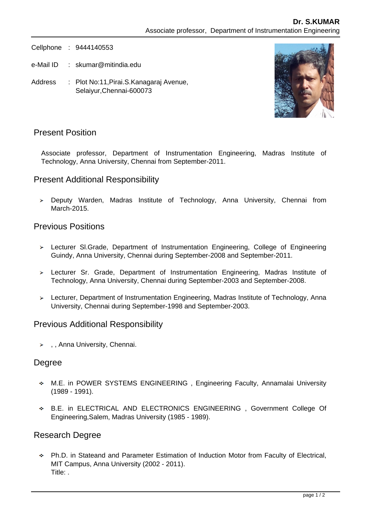Cellphone : 9444140553

- e-Mail ID : skumar@mitindia.edu
- Address : Plot No:11,Pirai.S.Kanagaraj Avenue, Selaiyur,Chennai-600073



# Present Position

Associate professor, Department of Instrumentation Engineering, Madras Institute of Technology, Anna University, Chennai from September-2011.

# Present Additional Responsibility

> Deputy Warden, Madras Institute of Technology, Anna University, Chennai from March-2015.

### Previous Positions

- Lecturer Sl.Grade, Department of Instrumentation Engineering, College of Engineering Guindy, Anna University, Chennai during September-2008 and September-2011.
- Lecturer Sr. Grade, Department of Instrumentation Engineering, Madras Institute of Technology, Anna University, Chennai during September-2003 and September-2008.
- Lecturer, Department of Instrumentation Engineering, Madras Institute of Technology, Anna University, Chennai during September-1998 and September-2003.

#### Previous Additional Responsibility

 $\rightarrow$ , Anna University, Chennai.

#### Degree

- M.E. in POWER SYSTEMS ENGINEERING , Engineering Faculty, Annamalai University (1989 - 1991).
- B.E. in ELECTRICAL AND ELECTRONICS ENGINEERING , Government College Of Engineering,Salem, Madras University (1985 - 1989).

#### Research Degree

Ph.D. in Stateand and Parameter Estimation of Induction Motor from Faculty of Electrical, MIT Campus, Anna University (2002 - 2011). Title: .